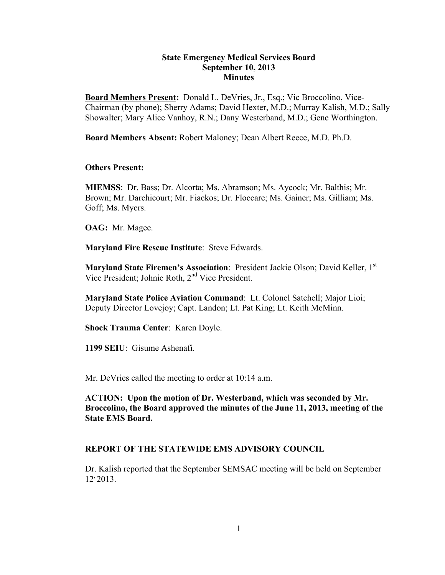## **State Emergency Medical Services Board September 10, 2013 Minutes**

**Board Members Present:** Donald L. DeVries, Jr., Esq.; Vic Broccolino, Vice-Chairman (by phone); Sherry Adams; David Hexter, M.D.; Murray Kalish, M.D.; Sally Showalter; Mary Alice Vanhoy, R.N.; Dany Westerband, M.D.; Gene Worthington.

**Board Members Absent:** Robert Maloney; Dean Albert Reece, M.D. Ph.D.

## **Others Present:**

**MIEMSS**: Dr. Bass; Dr. Alcorta; Ms. Abramson; Ms. Aycock; Mr. Balthis; Mr. Brown; Mr. Darchicourt; Mr. Fiackos; Dr. Floccare; Ms. Gainer; Ms. Gilliam; Ms. Goff; Ms. Myers.

**OAG:** Mr. Magee.

**Maryland Fire Rescue Institute**: Steve Edwards.

Maryland State Firemen's Association: President Jackie Olson; David Keller, 1st Vice President; Johnie Roth, 2nd Vice President.

**Maryland State Police Aviation Command**: Lt. Colonel Satchell; Major Lioi; Deputy Director Lovejoy; Capt. Landon; Lt. Pat King; Lt. Keith McMinn.

**Shock Trauma Center**: Karen Doyle.

**1199 SEIU**: Gisume Ashenafi.

Mr. DeVries called the meeting to order at 10:14 a.m.

**ACTION: Upon the motion of Dr. Westerband, which was seconded by Mr. Broccolino, the Board approved the minutes of the June 11, 2013, meeting of the State EMS Board.**

## **REPORT OF THE STATEWIDE EMS ADVISORY COUNCIL**

Dr. Kalish reported that the September SEMSAC meeting will be held on September  $12, 2013$ .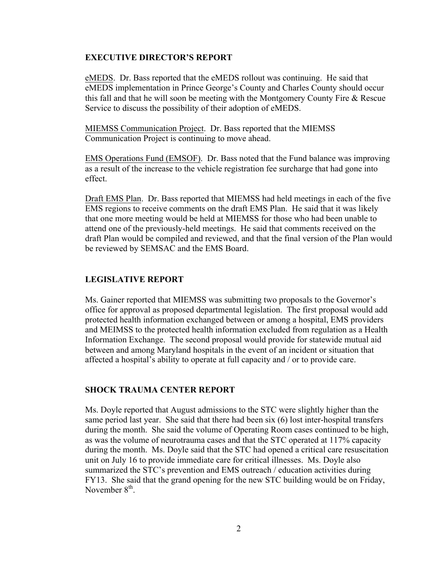#### **EXECUTIVE DIRECTOR'S REPORT**

eMEDS. Dr. Bass reported that the eMEDS rollout was continuing. He said that eMEDS implementation in Prince George's County and Charles County should occur this fall and that he will soon be meeting with the Montgomery County Fire & Rescue Service to discuss the possibility of their adoption of eMEDS.

MIEMSS Communication Project. Dr. Bass reported that the MIEMSS Communication Project is continuing to move ahead.

EMS Operations Fund (EMSOF). Dr. Bass noted that the Fund balance was improving as a result of the increase to the vehicle registration fee surcharge that had gone into effect.

Draft EMS Plan. Dr. Bass reported that MIEMSS had held meetings in each of the five EMS regions to receive comments on the draft EMS Plan. He said that it was likely that one more meeting would be held at MIEMSS for those who had been unable to attend one of the previously-held meetings. He said that comments received on the draft Plan would be compiled and reviewed, and that the final version of the Plan would be reviewed by SEMSAC and the EMS Board.

# **LEGISLATIVE REPORT**

Ms. Gainer reported that MIEMSS was submitting two proposals to the Governor's office for approval as proposed departmental legislation. The first proposal would add protected health information exchanged between or among a hospital, EMS providers and MEIMSS to the protected health information excluded from regulation as a Health Information Exchange. The second proposal would provide for statewide mutual aid between and among Maryland hospitals in the event of an incident or situation that affected a hospital's ability to operate at full capacity and / or to provide care.

#### **SHOCK TRAUMA CENTER REPORT**

Ms. Doyle reported that August admissions to the STC were slightly higher than the same period last year. She said that there had been six (6) lost inter-hospital transfers during the month. She said the volume of Operating Room cases continued to be high, as was the volume of neurotrauma cases and that the STC operated at 117% capacity during the month. Ms. Doyle said that the STC had opened a critical care resuscitation unit on July 16 to provide immediate care for critical illnesses. Ms. Doyle also summarized the STC's prevention and EMS outreach / education activities during FY13. She said that the grand opening for the new STC building would be on Friday, November  $8<sup>th</sup>$ .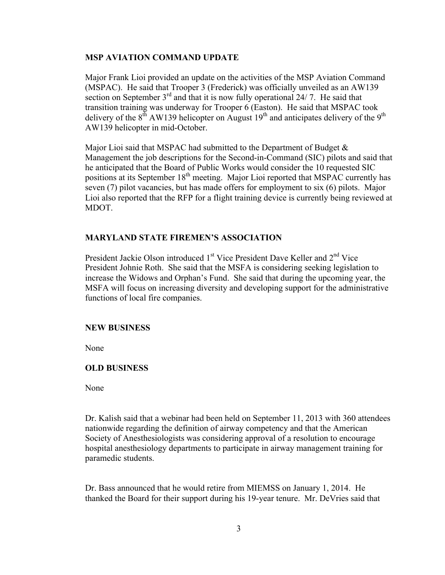## **MSP AVIATION COMMAND UPDATE**

Major Frank Lioi provided an update on the activities of the MSP Aviation Command (MSPAC). He said that Trooper 3 (Frederick) was officially unveiled as an AW139 section on September  $3<sup>rd</sup>$  and that it is now fully operational 24/7. He said that transition training was underway for Trooper 6 (Easton). He said that MSPAC took delivery of the  $8<sup>th</sup>$  AW139 helicopter on August 19<sup>th</sup> and anticipates delivery of the 9<sup>th</sup> AW139 helicopter in mid-October.

Major Lioi said that MSPAC had submitted to the Department of Budget  $\&$ Management the job descriptions for the Second-in-Command (SIC) pilots and said that he anticipated that the Board of Public Works would consider the 10 requested SIC positions at its September 18<sup>th</sup> meeting. Major Lioi reported that MSPAC currently has seven (7) pilot vacancies, but has made offers for employment to six (6) pilots. Major Lioi also reported that the RFP for a flight training device is currently being reviewed at MDOT.

## **MARYLAND STATE FIREMEN'S ASSOCIATION**

President Jackie Olson introduced 1<sup>st</sup> Vice President Dave Keller and 2<sup>nd</sup> Vice President Johnie Roth. She said that the MSFA is considering seeking legislation to increase the Widows and Orphan's Fund. She said that during the upcoming year, the MSFA will focus on increasing diversity and developing support for the administrative functions of local fire companies.

#### **NEW BUSINESS**

None

## **OLD BUSINESS**

None

Dr. Kalish said that a webinar had been held on September 11, 2013 with 360 attendees nationwide regarding the definition of airway competency and that the American Society of Anesthesiologists was considering approval of a resolution to encourage hospital anesthesiology departments to participate in airway management training for paramedic students.

Dr. Bass announced that he would retire from MIEMSS on January 1, 2014. He thanked the Board for their support during his 19-year tenure. Mr. DeVries said that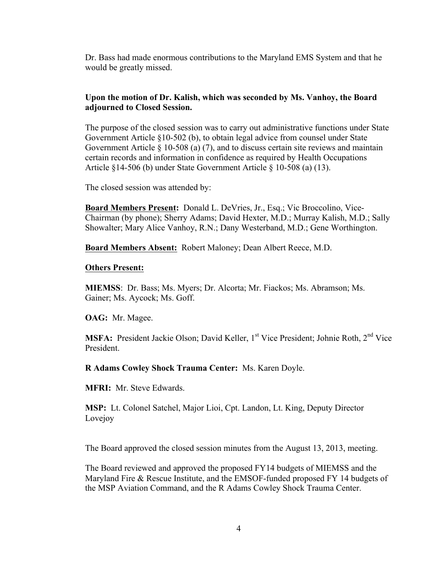Dr. Bass had made enormous contributions to the Maryland EMS System and that he would be greatly missed.

# **Upon the motion of Dr. Kalish, which was seconded by Ms. Vanhoy, the Board adjourned to Closed Session.**

The purpose of the closed session was to carry out administrative functions under State Government Article §10-502 (b), to obtain legal advice from counsel under State Government Article § 10-508 (a) (7), and to discuss certain site reviews and maintain certain records and information in confidence as required by Health Occupations Article §14-506 (b) under State Government Article § 10-508 (a) (13).

The closed session was attended by:

**Board Members Present:** Donald L. DeVries, Jr., Esq.; Vic Broccolino, Vice-Chairman (by phone); Sherry Adams; David Hexter, M.D.; Murray Kalish, M.D.; Sally Showalter; Mary Alice Vanhoy, R.N.; Dany Westerband, M.D.; Gene Worthington.

**Board Members Absent:** Robert Maloney; Dean Albert Reece, M.D.

#### **Others Present:**

**MIEMSS**: Dr. Bass; Ms. Myers; Dr. Alcorta; Mr. Fiackos; Ms. Abramson; Ms. Gainer; Ms. Aycock; Ms. Goff.

**OAG:** Mr. Magee.

**MSFA:** President Jackie Olson; David Keller, 1<sup>st</sup> Vice President; Johnie Roth, 2<sup>nd</sup> Vice President.

**R Adams Cowley Shock Trauma Center:** Ms. Karen Doyle.

**MFRI:** Mr. Steve Edwards.

**MSP:** Lt. Colonel Satchel, Major Lioi, Cpt. Landon, Lt. King, Deputy Director Lovejoy

The Board approved the closed session minutes from the August 13, 2013, meeting.

The Board reviewed and approved the proposed FY14 budgets of MIEMSS and the Maryland Fire & Rescue Institute, and the EMSOF-funded proposed FY 14 budgets of the MSP Aviation Command, and the R Adams Cowley Shock Trauma Center.